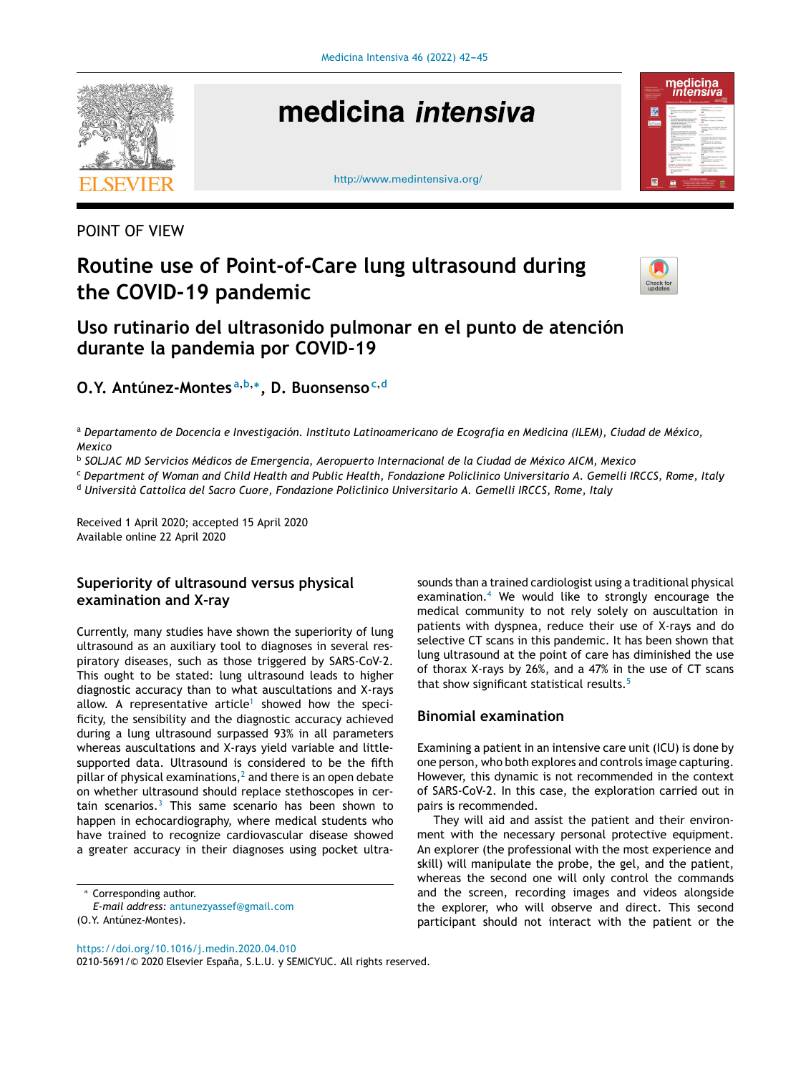

# medicina intensiva





## POINT OF VIEW

## **Routine use of Point-of-Care lung ultrasound during the COVID-19 pandemic**



## **Uso rutinario del ultrasonido pulmonar en el punto de atención durante la pandemia por COVID-19**

**O.Y. Antúnez-Montes <sup>a</sup>**,**b**,<sup>∗</sup> **, D. Buonsenso<sup>c</sup>**,**<sup>d</sup>**

a Departamento de Docencia e Investigación. Instituto Latinoamericano de Ecografía en Medicina (ILEM), Ciudad de México, *Mexico*

b *SOLJAC MD Servicios Médicos de Emergencia, Aeropuerto Internacional de la Ciudad de México AICM, Mexico*

<sup>c</sup> Department of Woman and Child Health and Public Health, Fondazione Policlinico Universitario A. Gemelli IRCCS, Rome, Italy

<sup>d</sup> *Università Cattolica del Sacro Cuore, Fondazione Policlinico Universitario A. Gemelli IRCCS, Rome, Italy*

Received 1 April 2020; accepted 15 April 2020 Available online 22 April 2020

## **Superiority of ultrasound versus physical examination and X-ray**

Currently, many studies have shown the superiority of lung ultrasound as an auxiliary tool to diagnoses in several respiratory diseases, such as those triggered by SARS-CoV-2. This ought to be stated: lung ultrasound leads to higher diagnostic accuracy than to what auscultations and X-rays allow. A representative article<sup>[1](#page-2-0)</sup> showed how the specificity, the sensibility and the diagnostic accuracy achieved during a lung ultrasound surpassed 93% in all parameters whereas auscultations and X-rays yield variable and littlesupported data. Ultrasound is considered to be the fifth pill[a](#page-2-0)r of physical examinations, $<sup>2</sup>$  and there is an open debate</sup> on whether ultrasound should replace stethoscopes in certain scenarios. $3$  This same scenario has been shown to happen in echocardiography, where medical students who have trained to recognize cardiovascular disease showed a greater accuracy in their diagnoses using pocket ultra-

Corresponding author.

<https://doi.org/10.1016/j.medin.2020.04.010>

0210-5691/© 2020 Elsevier España, S.L.U. y SEMICYUC. All rights reserved.

sounds than a trained cardiologist using a traditional physical examination.<sup>[4](#page-3-0)</sup> We would like to strongly encourage the medical community to not rely solely on auscultation in patients with dyspnea, reduce their use of X-rays and do selective CT scans in this pandemic. It has been shown that lung ultrasound at the point of care has diminished the use of thorax X-rays by 26%, and a 47% in the use of CT scans that show significant statistical results.<sup>[5](#page-3-0)</sup>

#### **Binomial examination**

Examining a patient in an intensive care unit (ICU) is done by one person, who both explores and controls image capturing. However, this dynamic is not recommended in the context of SARS-CoV-2. In this case, the exploration carried out in pairs is recommended.

They will aid and assist the patient and their environment with the necessary personal protective equipment. An explorer (the professional with the most experience and skill) will manipulate the probe, the gel, and the patient, whereas the second one will only control the commands and the screen, recording images and videos alongside the explorer, who will observe and direct. This second participant should not interact with the patient or the

*E-mail address:* [antunezyassef@gmail.com](mailto:antunezyassef@gmail.com)

<sup>(</sup>O.Y. Antúnez-Montes).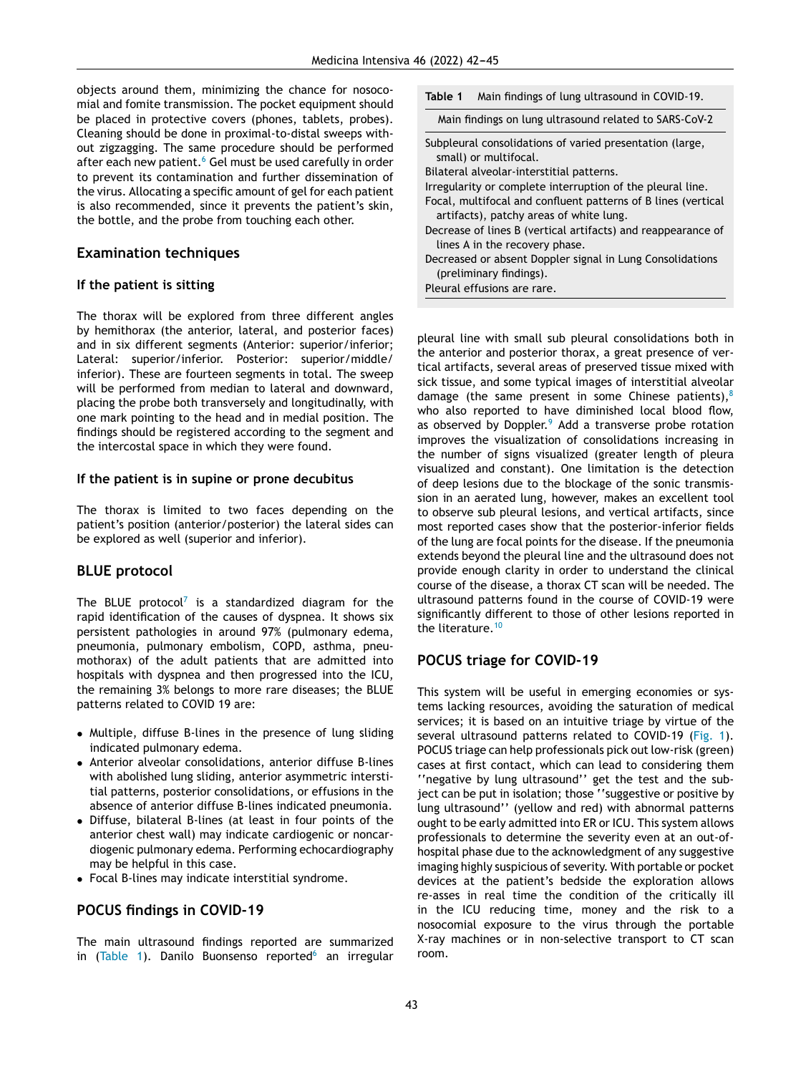objects around them, minimizing the chance for nosocomial and fomite transmission. The pocket equipment should be placed in protective covers (phones, tablets, probes). Cleaning should be done in proximal-to-distal sweeps without zigzagging. The same procedure should be performed after each new patient.<sup>6</sup> [G](#page-3-0)el must be used carefully in order to prevent its contamination and further dissemination of the virus. Allocating a specific amount of gel for each patient is also recommended, since it prevents the patient's skin, the bottle, and the probe from touching each other.

#### **Examination techniques**

#### **If the patient is sitting**

The thorax will be explored from three different angles by hemithorax (the anterior, lateral, and posterior faces) and in six different segments (Anterior: superior/inferior; Lateral: superior/inferior. Posterior: superior/middle/ inferior). These are fourteen segments in total. The sweep will be performed from median to lateral and downward, placing the probe both transversely and longitudinally, with one mark pointing to the head and in medial position. The findings should be registered according to the segment and the intercostal space in which they were found.

#### **If the patient is in supine or prone decubitus**

The thorax is limited to two faces depending on the patient's position (anterior/posterior) the lateral sides can be explored as well (superior and inferior).

#### **BLUE protocol**

The BLUE protocol<sup>[7](#page-3-0)</sup> is a standardized diagram for the rapid identification of the causes of dyspnea. It shows six persistent pathologies in around 97% (pulmonary edema, pneumonia, pulmonary embolism, COPD, asthma, pneumothorax) of the adult patients that are admitted into hospitals with dyspnea and then progressed into the ICU, the remaining 3% belongs to more rare diseases; the BLUE patterns related to COVID 19 are:

- Multiple, diffuse B-lines in the presence of lung sliding indicated pulmonary edema.
- Anterior alveolar consolidations, anterior diffuse B-lines with abolished lung sliding, anterior asymmetric interstitial patterns, posterior consolidations, or effusions in the absence of anterior diffuse B-lines indicated pneumonia.
- Diffuse, bilateral B-lines (at least in four points of the anterior chest wall) may indicate cardiogenic or noncardiogenic pulmonary edema. Performing echocardiography may be helpful in this case.
- Focal B-lines may indicate interstitial syndrome.

#### **POCUS findings in COVID-19**

The main ultrasound findings reported are summarized in (Table 1). Danilo Buonsenso reported $6$  an irregular

|  | Table 1 Main findings of lung ultrasound in COVID-19. |  |  |
|--|-------------------------------------------------------|--|--|
|--|-------------------------------------------------------|--|--|

Main findings on lung ultrasound related to SARS-CoV-2

- Subpleural consolidations of varied presentation (large, small) or multifocal.
- Bilateral alveolar-interstitial patterns.
- Irregularity or complete interruption of the pleural line.
- Focal, multifocal and confluent patterns of B lines (vertical artifacts), patchy areas of white lung.
- Decrease of lines B (vertical artifacts) and reappearance of lines A in the recovery phase.

Decreased or absent Doppler signal in Lung Consolidations (preliminary findings).

Pleural effusions are rare.

pleural line with small sub pleural consolidations both in the anterior and posterior thorax, a great presence of vertical artifacts, several areas of preserved tissue mixed with sick tissue, and some typical images of interstitial alveolar damage (the same present in some Chinese patients), $8$ who also reported to have diminished local blood flow, as observed by Doppler.<sup>[9](#page-3-0)</sup> Add a transverse probe rotation improves the visualization of consolidations increasing in the number of signs visualized (greater length of pleura visualized and constant). One limitation is the detection of deep lesions due to the blockage of the sonic transmission in an aerated lung, however, makes an excellent tool to observe sub pleural lesions, and vertical artifacts, since most reported cases show that the posterior-inferior fields of the lung are focal points for the disease. If the pneumonia extends beyond the pleural line and the ultrasound does not provide enough clarity in order to understand the clinical course of the disease, a thorax CT scan will be needed. The ultrasound patterns found in the course of COVID-19 were significantly different to those of other lesions reported in the literature.<sup>[10](#page-3-0)</sup>

## **POCUS triage for COVID-19**

This system will be useful in emerging economies or systems lacking resources, avoiding the saturation of medical services; it is based on an intuitive triage by virtue of the several ultrasound patterns related to COVID-19 [\(Fig.](#page-2-0) 1). POCUS triage can help professionals pick out low-risk (green) cases at first contact, which can lead to considering them ''negative by lung ultrasound'' get the test and the subject can be put in isolation; those ''suggestive or positive by lung ultrasound'' (yellow and red) with abnormal patterns ought to be early admitted into ER or ICU. This system allows professionals to determine the severity even at an out-ofhospital phase due to the acknowledgment of any suggestive imaging highly suspicious of severity. With portable or pocket devices at the patient's bedside the exploration allows re-asses in real time the condition of the critically ill in the ICU reducing time, money and the risk to a nosocomial exposure to the virus through the portable X-ray machines or in non-selective transport to CT scan room.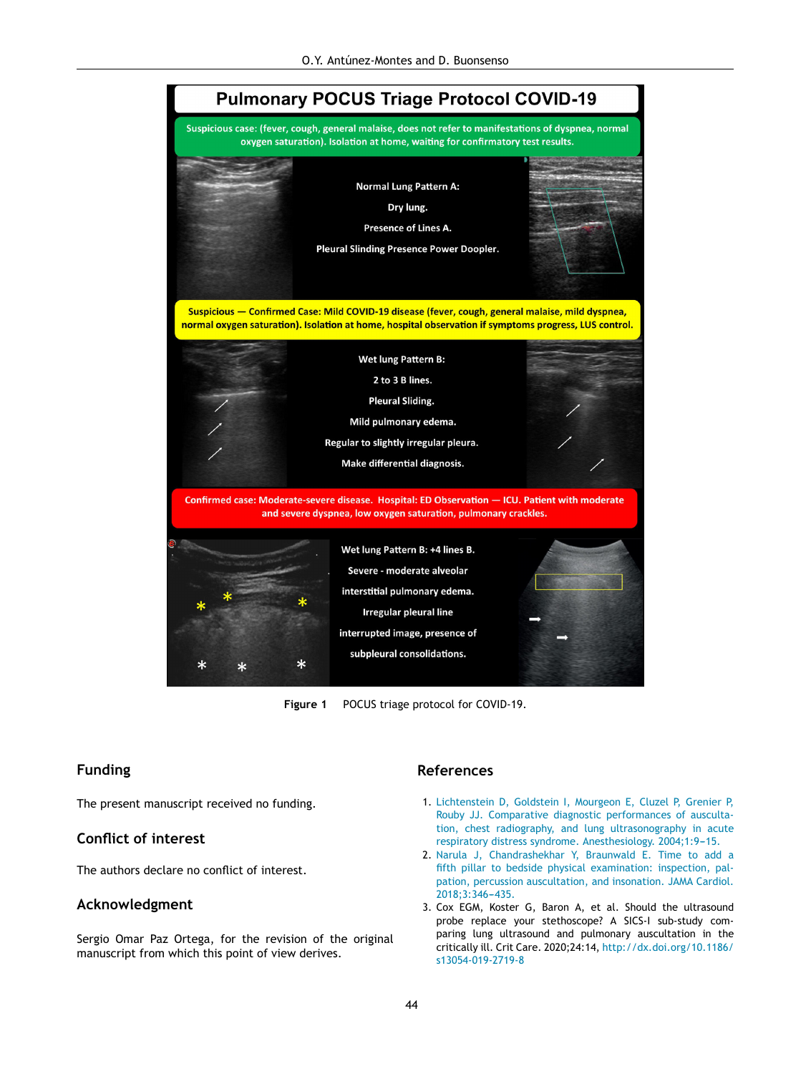<span id="page-2-0"></span>

**Figure 1** POCUS triage protocol for COVID-19.

#### **Funding**

The present manuscript received no funding.

#### **Conflict of interest**

The authors declare no conflict of interest.

#### **Acknowledgment**

Sergio Omar Paz Ortega, for the revision of the original manuscript from which this point of view derives.

#### **References**

- 1. [Lichtenstein](http://refhub.elsevier.com/S0210-5691(20)30117-0/sbref0055) [D,](http://refhub.elsevier.com/S0210-5691(20)30117-0/sbref0055) [Goldstein](http://refhub.elsevier.com/S0210-5691(20)30117-0/sbref0055) [I,](http://refhub.elsevier.com/S0210-5691(20)30117-0/sbref0055) [Mourgeon](http://refhub.elsevier.com/S0210-5691(20)30117-0/sbref0055) [E,](http://refhub.elsevier.com/S0210-5691(20)30117-0/sbref0055) [Cluzel](http://refhub.elsevier.com/S0210-5691(20)30117-0/sbref0055) [P,](http://refhub.elsevier.com/S0210-5691(20)30117-0/sbref0055) [Grenier](http://refhub.elsevier.com/S0210-5691(20)30117-0/sbref0055) [P,](http://refhub.elsevier.com/S0210-5691(20)30117-0/sbref0055) [Rouby](http://refhub.elsevier.com/S0210-5691(20)30117-0/sbref0055) [JJ.](http://refhub.elsevier.com/S0210-5691(20)30117-0/sbref0055) [Comparative](http://refhub.elsevier.com/S0210-5691(20)30117-0/sbref0055) [diagnostic](http://refhub.elsevier.com/S0210-5691(20)30117-0/sbref0055) [performances](http://refhub.elsevier.com/S0210-5691(20)30117-0/sbref0055) [of](http://refhub.elsevier.com/S0210-5691(20)30117-0/sbref0055) [ausculta](http://refhub.elsevier.com/S0210-5691(20)30117-0/sbref0055)[tion,](http://refhub.elsevier.com/S0210-5691(20)30117-0/sbref0055) [chest](http://refhub.elsevier.com/S0210-5691(20)30117-0/sbref0055) [radiography,](http://refhub.elsevier.com/S0210-5691(20)30117-0/sbref0055) [and](http://refhub.elsevier.com/S0210-5691(20)30117-0/sbref0055) [lung](http://refhub.elsevier.com/S0210-5691(20)30117-0/sbref0055) [ultrasonography](http://refhub.elsevier.com/S0210-5691(20)30117-0/sbref0055) [in](http://refhub.elsevier.com/S0210-5691(20)30117-0/sbref0055) [acute](http://refhub.elsevier.com/S0210-5691(20)30117-0/sbref0055) [respiratory](http://refhub.elsevier.com/S0210-5691(20)30117-0/sbref0055) [distress](http://refhub.elsevier.com/S0210-5691(20)30117-0/sbref0055) [syndrome.](http://refhub.elsevier.com/S0210-5691(20)30117-0/sbref0055) [Anesthesiology.](http://refhub.elsevier.com/S0210-5691(20)30117-0/sbref0055) 2004;1:9-15.
- 2. [Narula](http://refhub.elsevier.com/S0210-5691(20)30117-0/sbref0060) [J,](http://refhub.elsevier.com/S0210-5691(20)30117-0/sbref0060) [Chandrashekhar](http://refhub.elsevier.com/S0210-5691(20)30117-0/sbref0060) [Y,](http://refhub.elsevier.com/S0210-5691(20)30117-0/sbref0060) [Braunwald](http://refhub.elsevier.com/S0210-5691(20)30117-0/sbref0060) [E.](http://refhub.elsevier.com/S0210-5691(20)30117-0/sbref0060) [Time](http://refhub.elsevier.com/S0210-5691(20)30117-0/sbref0060) [to](http://refhub.elsevier.com/S0210-5691(20)30117-0/sbref0060) [add](http://refhub.elsevier.com/S0210-5691(20)30117-0/sbref0060) [a](http://refhub.elsevier.com/S0210-5691(20)30117-0/sbref0060) [fifth](http://refhub.elsevier.com/S0210-5691(20)30117-0/sbref0060) [pillar](http://refhub.elsevier.com/S0210-5691(20)30117-0/sbref0060) [to](http://refhub.elsevier.com/S0210-5691(20)30117-0/sbref0060) [bedside](http://refhub.elsevier.com/S0210-5691(20)30117-0/sbref0060) [physical](http://refhub.elsevier.com/S0210-5691(20)30117-0/sbref0060) [examination:](http://refhub.elsevier.com/S0210-5691(20)30117-0/sbref0060) [inspection,](http://refhub.elsevier.com/S0210-5691(20)30117-0/sbref0060) [pal](http://refhub.elsevier.com/S0210-5691(20)30117-0/sbref0060)[pation,](http://refhub.elsevier.com/S0210-5691(20)30117-0/sbref0060) [percussion](http://refhub.elsevier.com/S0210-5691(20)30117-0/sbref0060) [auscultation,](http://refhub.elsevier.com/S0210-5691(20)30117-0/sbref0060) [and](http://refhub.elsevier.com/S0210-5691(20)30117-0/sbref0060) [insonation.](http://refhub.elsevier.com/S0210-5691(20)30117-0/sbref0060) [JAMA](http://refhub.elsevier.com/S0210-5691(20)30117-0/sbref0060) [Cardiol.](http://refhub.elsevier.com/S0210-5691(20)30117-0/sbref0060) 2018;3:346-435.
- 3. Cox EGM, Koster G, Baron A, et al. Should the ultrasound probe replace your stethoscope? A SICS-I sub-study comparing lung ultrasound and pulmonary auscultation in the critically ill. Crit Care. 2020;24:14, [http://dx.doi.org/10.1186/](dx.doi.org/10.1186/s13054-019-2719-8) [s13054-019-2719-8](dx.doi.org/10.1186/s13054-019-2719-8)